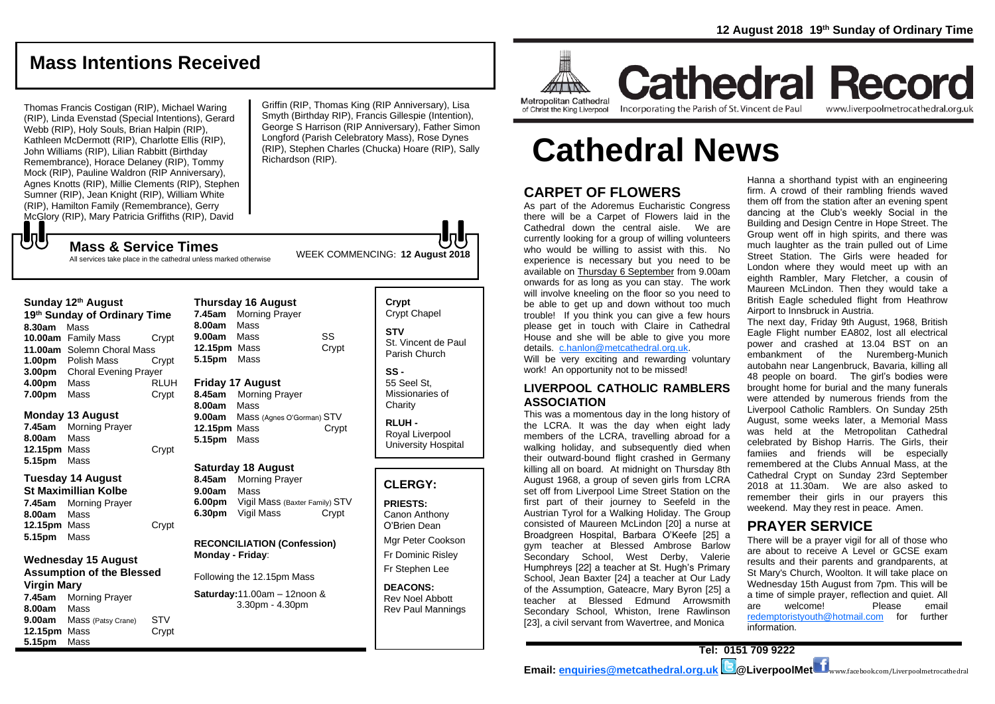# **Mass Intentions Received**

Thomas Francis Costigan (RIP), Michael Waring (RIP), Linda Evenstad (Special Intentions), Gerard Webb (RIP), Holy Souls, Brian Halpin (RIP), Kathleen McDermott (RIP), Charlotte Ellis (RIP), John Williams (RIP), Lilian Rabbitt (Birthday Remembrance), Horace Delaney (RIP), Tommy Mock (RIP), Pauline Waldron (RIP Anniversary), Agnes Knotts (RIP), Millie Clements (RIP), Stephen Sumner (RIP), Jean Knight (RIP), William White (RIP), Hamilton Family (Remembrance), Gerry McGlory (RIP), Mary Patricia Griffiths (RIP), David

Griffin (RIP, Thomas King (RIP Anniversary), Lisa Smyth (Birthday RIP), Francis Gillespie (Intention), George S Harrison (RIP Anniversary), Father Simon Longford (Parish Celebratory Mass), Rose Dynes (RIP), Stephen Charles (Chucka) Hoare (RIP), Sally Richardson (RIP).

All services take place in the cathedral unless marked otherwise

| Sunday 12th August           |                              |             |
|------------------------------|------------------------------|-------------|
| 19th Sunday of Ordinary Time |                              |             |
| 8.30am                       | Mass                         |             |
|                              | 10.00am Family Mass          | Crypt       |
|                              | 11.00am Solemn Choral Mass   |             |
| 1.00 <sub>pm</sub>           | Polish Mass                  | Crypt       |
| 3.00 <sub>pm</sub>           | <b>Choral Evening Prayer</b> |             |
| 4.00pm                       | Mass                         | <b>RLUH</b> |
| 7.00pm                       | Mass                         | Crypt       |

### **Monday 13 August**

もし

**7.45am** Morning Prayer **8.00am** Mass 12.15pm Mass Crypt **5.15pm** Mass

# **Tuesday 14 August**

**St Maximillian Kolbe 7.45am** Morning Prayer **8.00am** Mass **12.15pm** Mass Crypt **5.15pm** Mass

## **Wednesday 15 August Assumption of the Blessed Virgin Mary 7.45am** Morning Prayer **8.00am** Mass **9.00am** Mass (Patsy Crane) STV **12.15pm** Mass Crypt

**5.15pm** Mass

**Thursday 16 August 7.45am** Morning Prayer **8.00am** Mass **9.00am** Mass SS **12.15pm** Mass Crypt **5.15pm** Mass

# **Friday 17 August**

**8.45am** Morning Prayer **8.00am** Mass **9.00am** Mass (Agnes O'Gorman) STV **12.15pm** Mass Crypt **5.15pm** Mass

#### **Saturday 18 August**

**8.45am** Morning Prayer **9.00am** Mass **6.00pm** Vigil Mass (Baxter Family) STV **6.30pm** Vigil Mass Crypt

**RECONCILIATION (Confession) Monday - Friday**:

Following the 12.15pm Mass

**Saturday:**11.00am – 12noon & 3.30pm - 4.30pm

# **Crypt**  Crypt Chapel **STV** St. Vincent de Paul Parish Church

**SS -** 55 Seel St, Missionaries of **Charity** 

**RLUH -** Royal Liverpool University Hospital

# **CLERGY:**

**PRIESTS:** Canon Anthony O'Brien *Dean*

Mgr Peter Cookson Fr Dominic Risley Fr Stephen Lee

**DEACONS:** Rev Noel Abbott Rev Paul Mannings

**Room MITTING Metropolitan Cathedral** 

**Cathedral Record** of Christ the King Liverpool

Incorporating the Parish of St. Vincent de Paul

www.liverpoolmetrocathedral.org.uk

# **Cathedral News**

# **CARPET OF FLOWERS**

As part of the Adoremus Eucharistic Congress there will be a Carpet of Flowers laid in the Cathedral down the central aisle. We are currently looking for a group of willing volunteers who would be willing to assist with this. No experience is necessary but you need to be available on Thursday 6 September from 9.00am onwards for as long as you can stay. The work will involve kneeling on the floor so you need to be able to get up and down without too much trouble! If you think you can give a few hours please get in touch with Claire in Cathedral House and she will be able to give you more details. [c.hanlon@metcathedral.org.uk.](mailto:c.hanlon@metcathedral.org.uk)

Will be very exciting and rewarding voluntary work! An opportunity not to be missed!

# **LIVERPOOL CATHOLIC RAMBLERS ASSOCIATION**

This was a momentous day in the long history of the LCRA. It was the day when eight lady members of the LCRA, travelling abroad for a walking holiday, and subsequently died when their outward-bound flight crashed in Germany killing all on board. At midnight on Thursday 8th August 1968, a group of seven girls from LCRA set off from Liverpool Lime Street Station on the first part of their journey to Seefeld in the Austrian Tyrol for a Walking Holiday. The Group consisted of Maureen McLindon [20] a nurse at Broadgreen Hospital, Barbara O'Keefe [25] a gym teacher at Blessed Ambrose Barlow Secondary School, West Derby, Valerie Humphreys [22] a teacher at St. Hugh's Primary School, Jean Baxter [24] a teacher at Our Lady of the Assumption, Gateacre, Mary Byron [25] a teacher at Blessed Edmund Arrowsmith Secondary School, Whiston, Irene Rawlinson [23], a civil servant from Wavertree, and Monica

Hanna a shorthand typist with an engineering firm. A crowd of their rambling friends waved them off from the station after an evening spent dancing at the Club's weekly Social in the Building and Design Centre in Hope Street. The Group went off in high spirits, and there was much laughter as the train pulled out of Lime Street Station. The Girls were headed for London where they would meet up with an eighth Rambler, Mary Fletcher, a cousin of Maureen McLindon. Then they would take a British Eagle scheduled flight from Heathrow Airport to Innsbruck in Austria.

The next day, Friday 9th August, 1968, British Eagle Flight number EA802, lost all electrical power and crashed at 13.04 BST on an embankment of the Nuremberg-Munich autobahn near Langenbruck, Bavaria, killing all 48 people on board. The girl's bodies were brought home for burial and the many funerals were attended by numerous friends from the Liverpool Catholic Ramblers. On Sunday 25th August, some weeks later, a Memorial Mass was held at the Metropolitan Cathedral celebrated by Bishop Harris. The Girls, their famiies and friends will be especially remembered at the Clubs Annual Mass, at the Cathedral Crypt on Sunday 23rd September 2018 at 11.30am. We are also asked to remember their girls in our prayers this weekend. May they rest in peace. Amen.

# **PRAYER SERVICE**

There will be a prayer vigil for all of those who are about to receive A Level or GCSE exam results and their parents and grandparents, at St Mary's Church, Woolton. It will take place on Wednesday 15th August from 7pm. This will be a time of simple prayer, reflection and quiet. All are welcome! Please email [redemptoristyouth@hotmail.com](mailto:redemptoristyouth@hotmail.com) for further information.

**Email: [enquiries@metcathedral.org.uk](mailto:enquiries@metcathedral.org.uk) @LiverpoolMet** www.facebook.com/Liverpoolmetrocathedral

**Tel: 0151 709 9222** 

WEEK COMMENCING: **<sup>12</sup> August 2018 Mass & Service Times**